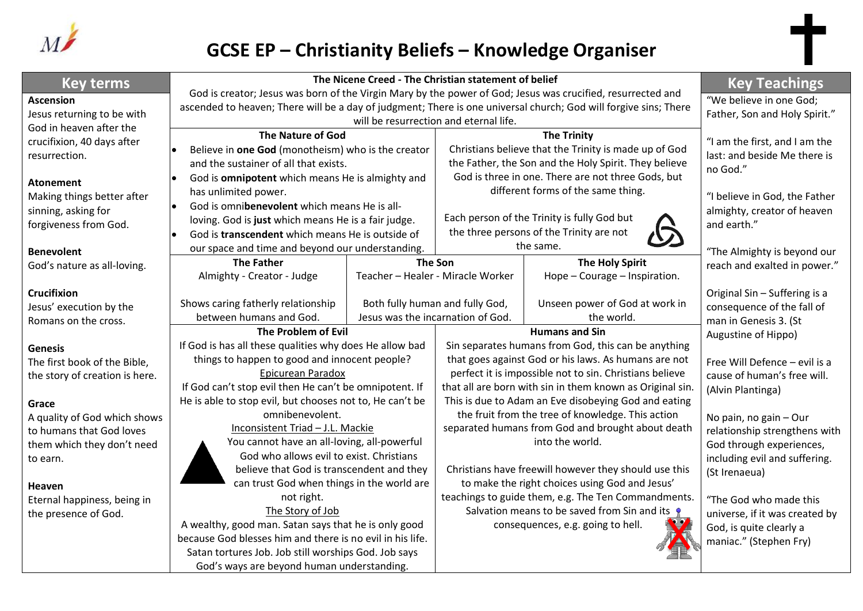

# **GCSE EP – Christianity Beliefs – Knowledge Organiser**

| <b>Key terms</b>                            | The Nicene Creed - The Christian statement of belief                                                                                                                                                                            | <b>Key Teachings</b>                          |                                                                                                        |                                                           |                                                               |
|---------------------------------------------|---------------------------------------------------------------------------------------------------------------------------------------------------------------------------------------------------------------------------------|-----------------------------------------------|--------------------------------------------------------------------------------------------------------|-----------------------------------------------------------|---------------------------------------------------------------|
| <b>Ascension</b>                            | God is creator; Jesus was born of the Virgin Mary by the power of God; Jesus was crucified, resurrected and<br>ascended to heaven; There will be a day of judgment; There is one universal church; God will forgive sins; There | "We believe in one God;                       |                                                                                                        |                                                           |                                                               |
| Jesus returning to be with                  |                                                                                                                                                                                                                                 | Father, Son and Holy Spirit."                 |                                                                                                        |                                                           |                                                               |
| God in heaven after the                     | <b>The Nature of God</b>                                                                                                                                                                                                        |                                               | <b>The Trinity</b>                                                                                     |                                                           |                                                               |
| crucifixion, 40 days after<br>resurrection. | Believe in one God (monotheism) who is the creator                                                                                                                                                                              |                                               | Christians believe that the Trinity is made up of God                                                  |                                                           | "I am the first, and I am the<br>last: and beside Me there is |
|                                             | and the sustainer of all that exists.                                                                                                                                                                                           |                                               | the Father, the Son and the Holy Spirit. They believe                                                  |                                                           | no God."                                                      |
| <b>Atonement</b>                            | God is omnipotent which means He is almighty and                                                                                                                                                                                |                                               | God is three in one. There are not three Gods, but                                                     |                                                           |                                                               |
| Making things better after                  | has unlimited power.                                                                                                                                                                                                            |                                               | different forms of the same thing.                                                                     |                                                           | "I believe in God, the Father                                 |
| sinning, asking for                         | God is omnibenevolent which means He is all-<br>$\bullet$                                                                                                                                                                       |                                               |                                                                                                        |                                                           | almighty, creator of heaven                                   |
| forgiveness from God.                       | loving. God is just which means He is a fair judge.<br>God is transcendent which means He is outside of                                                                                                                         |                                               | Each person of the Trinity is fully God but<br>the three persons of the Trinity are not                |                                                           | and earth."                                                   |
|                                             |                                                                                                                                                                                                                                 |                                               | the same.                                                                                              |                                                           |                                                               |
| <b>Benevolent</b>                           | our space and time and beyond our understanding.<br><b>The Father</b>                                                                                                                                                           | <b>The Son</b>                                |                                                                                                        | <b>The Holy Spirit</b>                                    | "The Almighty is beyond our                                   |
| God's nature as all-loving.                 | Almighty - Creator - Judge                                                                                                                                                                                                      | Teacher - Healer - Miracle Worker             |                                                                                                        | Hope - Courage - Inspiration.                             | reach and exalted in power."                                  |
| Crucifixion                                 |                                                                                                                                                                                                                                 |                                               |                                                                                                        |                                                           | Original Sin - Suffering is a                                 |
| Jesus' execution by the                     | Shows caring fatherly relationship                                                                                                                                                                                              |                                               | Both fully human and fully God,                                                                        | Unseen power of God at work in                            | consequence of the fall of                                    |
| Romans on the cross.                        | between humans and God.                                                                                                                                                                                                         | Jesus was the incarnation of God.             |                                                                                                        | the world.                                                | man in Genesis 3. (St                                         |
|                                             | The Problem of Evil                                                                                                                                                                                                             |                                               | <b>Humans and Sin</b>                                                                                  |                                                           | Augustine of Hippo)                                           |
| <b>Genesis</b>                              | If God is has all these qualities why does He allow bad                                                                                                                                                                         |                                               | Sin separates humans from God, this can be anything                                                    |                                                           |                                                               |
| The first book of the Bible,                |                                                                                                                                                                                                                                 | things to happen to good and innocent people? |                                                                                                        | that goes against God or his laws. As humans are not      | Free Will Defence - evil is a                                 |
| the story of creation is here.              | Epicurean Paradox                                                                                                                                                                                                               |                                               | perfect it is impossible not to sin. Christians believe                                                |                                                           | cause of human's free will.                                   |
|                                             | If God can't stop evil then He can't be omnipotent. If                                                                                                                                                                          |                                               |                                                                                                        | that all are born with sin in them known as Original sin. | (Alvin Plantinga)                                             |
| Grace                                       | He is able to stop evil, but chooses not to, He can't be                                                                                                                                                                        |                                               | This is due to Adam an Eve disobeying God and eating                                                   |                                                           |                                                               |
| A quality of God which shows                | omnibenevolent.                                                                                                                                                                                                                 |                                               | the fruit from the tree of knowledge. This action<br>separated humans from God and brought about death |                                                           | No pain, no gain - Our                                        |
| to humans that God loves                    | Inconsistent Triad - J.L. Mackie<br>You cannot have an all-loving, all-powerful                                                                                                                                                 |                                               | into the world.                                                                                        |                                                           | relationship strengthens with                                 |
| them which they don't need                  | God who allows evil to exist. Christians                                                                                                                                                                                        |                                               |                                                                                                        |                                                           | God through experiences,<br>including evil and suffering.     |
| to earn.                                    | believe that God is transcendent and they                                                                                                                                                                                       |                                               | Christians have freewill however they should use this                                                  |                                                           | (St Irenaeua)                                                 |
| <b>Heaven</b>                               | can trust God when things in the world are                                                                                                                                                                                      |                                               | to make the right choices using God and Jesus'                                                         |                                                           |                                                               |
| Eternal happiness, being in                 | not right.                                                                                                                                                                                                                      |                                               | teachings to guide them, e.g. The Ten Commandments.                                                    |                                                           | "The God who made this                                        |
| the presence of God.                        | The Story of Job                                                                                                                                                                                                                |                                               | Salvation means to be saved from Sin and its $\bullet$                                                 |                                                           | universe, if it was created by                                |
|                                             | A wealthy, good man. Satan says that he is only good                                                                                                                                                                            |                                               | consequences, e.g. going to hell.                                                                      |                                                           | God, is quite clearly a                                       |
|                                             | because God blesses him and there is no evil in his life.                                                                                                                                                                       |                                               |                                                                                                        |                                                           | maniac." (Stephen Fry)                                        |
|                                             | Satan tortures Job. Job still worships God. Job says                                                                                                                                                                            |                                               |                                                                                                        |                                                           |                                                               |
|                                             | God's ways are beyond human understanding.                                                                                                                                                                                      |                                               |                                                                                                        |                                                           |                                                               |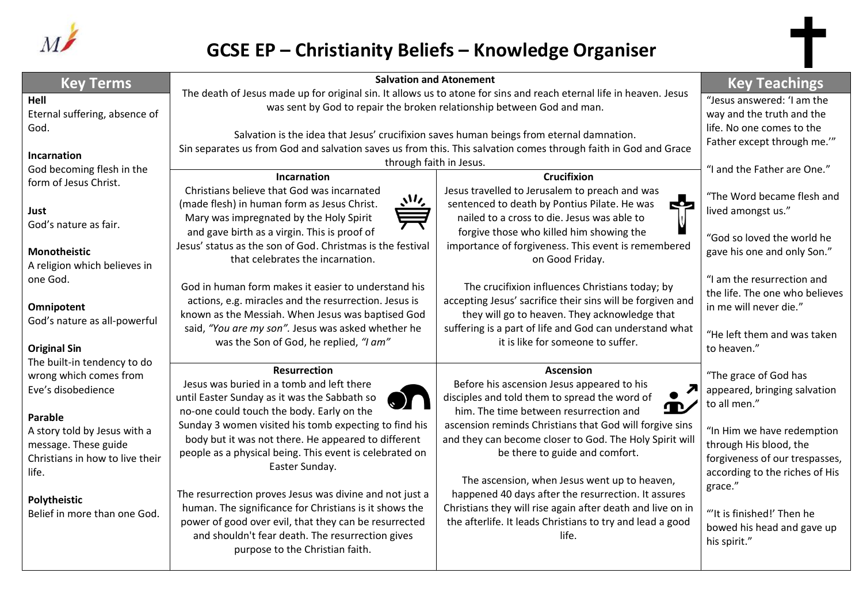

# **GCSE EP – Christianity Beliefs – Knowledge Organiser**

| <b>Key Terms</b>                                                                                            | <b>Salvation and Atonement</b>                                                                                                                                                                                                                                    | <b>Key Teachings</b>                                                                                                                                                                                                                                           |                                                                                                                          |
|-------------------------------------------------------------------------------------------------------------|-------------------------------------------------------------------------------------------------------------------------------------------------------------------------------------------------------------------------------------------------------------------|----------------------------------------------------------------------------------------------------------------------------------------------------------------------------------------------------------------------------------------------------------------|--------------------------------------------------------------------------------------------------------------------------|
| Hell<br>Eternal suffering, absence of                                                                       | The death of Jesus made up for original sin. It allows us to atone for sins and reach eternal life in heaven. Jesus<br>was sent by God to repair the broken relationship between God and man.                                                                     | "Jesus answered: 'I am the<br>way and the truth and the                                                                                                                                                                                                        |                                                                                                                          |
| God.                                                                                                        | Salvation is the idea that Jesus' crucifixion saves human beings from eternal damnation.                                                                                                                                                                          | life. No one comes to the<br>Father except through me.""                                                                                                                                                                                                       |                                                                                                                          |
| Incarnation                                                                                                 | Sin separates us from God and salvation saves us from this. This salvation comes through faith in God and Grace<br>through faith in Jesus.                                                                                                                        |                                                                                                                                                                                                                                                                |                                                                                                                          |
| God becoming flesh in the                                                                                   | Incarnation                                                                                                                                                                                                                                                       | "I and the Father are One."                                                                                                                                                                                                                                    |                                                                                                                          |
| form of Jesus Christ.                                                                                       | Christians believe that God was incarnated                                                                                                                                                                                                                        | <b>Crucifixion</b><br>Jesus travelled to Jerusalem to preach and was                                                                                                                                                                                           | "The Word became flesh and                                                                                               |
| Just<br>God's nature as fair.                                                                               | いん<br>(made flesh) in human form as Jesus Christ.<br>Mary was impregnated by the Holy Spirit                                                                                                                                                                      | sentenced to death by Pontius Pilate. He was<br>52<br>nailed to a cross to die. Jesus was able to                                                                                                                                                              | lived amongst us."                                                                                                       |
| <b>Monotheistic</b><br>A religion which believes in                                                         | and gave birth as a virgin. This is proof of<br>Jesus' status as the son of God. Christmas is the festival<br>that celebrates the incarnation.                                                                                                                    | forgive those who killed him showing the<br>importance of forgiveness. This event is remembered<br>on Good Friday.                                                                                                                                             | "God so loved the world he<br>gave his one and only Son."                                                                |
| one God.<br>Omnipotent                                                                                      | God in human form makes it easier to understand his<br>actions, e.g. miracles and the resurrection. Jesus is                                                                                                                                                      | The crucifixion influences Christians today; by<br>accepting Jesus' sacrifice their sins will be forgiven and<br>they will go to heaven. They acknowledge that<br>suffering is a part of life and God can understand what<br>it is like for someone to suffer. | "I am the resurrection and<br>the life. The one who believes<br>in me will never die."                                   |
| God's nature as all-powerful<br><b>Original Sin</b>                                                         | known as the Messiah. When Jesus was baptised God<br>said, "You are my son". Jesus was asked whether he<br>was the Son of God, he replied, "I am"                                                                                                                 |                                                                                                                                                                                                                                                                | "He left them and was taken<br>to heaven."                                                                               |
| The built-in tendency to do<br>wrong which comes from<br>Eve's disobedience                                 | <b>Resurrection</b><br>Jesus was buried in a tomb and left there<br>until Easter Sunday as it was the Sabbath so<br>no-one could touch the body. Early on the                                                                                                     | <b>Ascension</b><br>Before his ascension Jesus appeared to his<br>disciples and told them to spread the word of<br>him. The time between resurrection and                                                                                                      | "The grace of God has<br>appeared, bringing salvation<br>to all men."                                                    |
| Parable<br>A story told by Jesus with a<br>message. These guide<br>Christians in how to live their<br>life. | Sunday 3 women visited his tomb expecting to find his<br>body but it was not there. He appeared to different<br>people as a physical being. This event is celebrated on<br>Easter Sunday.                                                                         | ascension reminds Christians that God will forgive sins<br>and they can become closer to God. The Holy Spirit will<br>be there to guide and comfort.                                                                                                           | "In Him we have redemption<br>through His blood, the<br>forgiveness of our trespasses,<br>according to the riches of His |
| Polytheistic<br>Belief in more than one God.                                                                | The resurrection proves Jesus was divine and not just a<br>human. The significance for Christians is it shows the<br>power of good over evil, that they can be resurrected<br>and shouldn't fear death. The resurrection gives<br>purpose to the Christian faith. | The ascension, when Jesus went up to heaven,<br>happened 40 days after the resurrection. It assures<br>Christians they will rise again after death and live on in<br>the afterlife. It leads Christians to try and lead a good<br>life.                        | grace."<br>"It is finished!' Then he<br>bowed his head and gave up<br>his spirit."                                       |
|                                                                                                             |                                                                                                                                                                                                                                                                   |                                                                                                                                                                                                                                                                |                                                                                                                          |